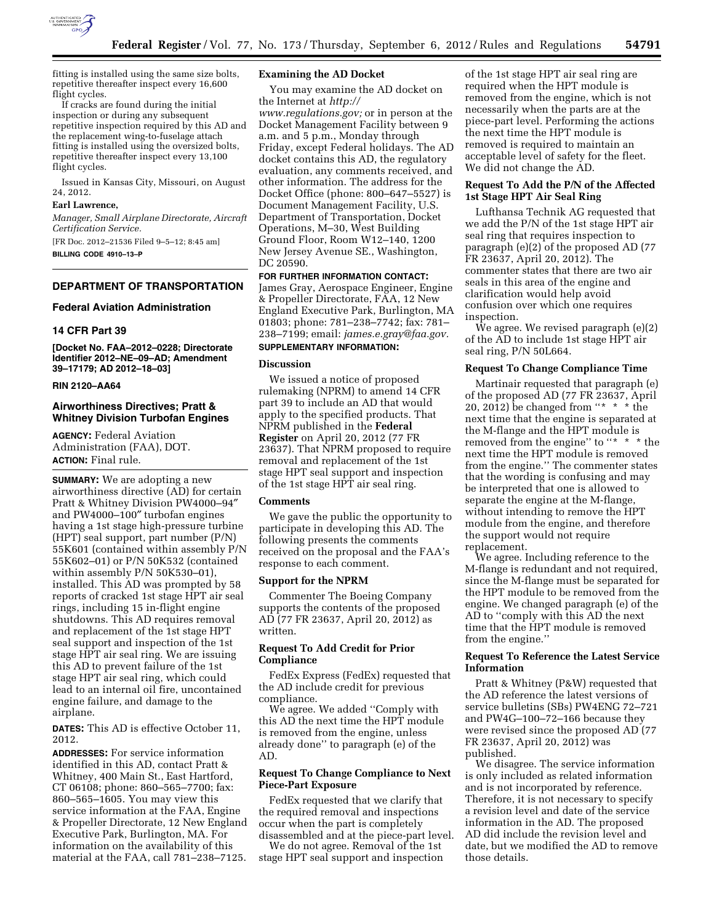

fitting is installed using the same size bolts, repetitive thereafter inspect every 16,600 flight cycles.

If cracks are found during the initial inspection or during any subsequent repetitive inspection required by this AD and the replacement wing-to-fuselage attach fitting is installed using the oversized bolts, repetitive thereafter inspect every 13,100 flight cycles.

Issued in Kansas City, Missouri, on August 24, 2012.

### **Earl Lawrence,**

*Manager, Small Airplane Directorate, Aircraft Certification Service.* 

[FR Doc. 2012–21536 Filed 9–5–12; 8:45 am] **BILLING CODE 4910–13–P** 

# **DEPARTMENT OF TRANSPORTATION**

### **Federal Aviation Administration**

### **14 CFR Part 39**

**[Docket No. FAA–2012–0228; Directorate Identifier 2012–NE–09–AD; Amendment 39–17179; AD 2012–18–03]** 

# **RIN 2120–AA64**

# **Airworthiness Directives; Pratt & Whitney Division Turbofan Engines**

**AGENCY:** Federal Aviation Administration (FAA), DOT. **ACTION:** Final rule.

**SUMMARY:** We are adopting a new airworthiness directive (AD) for certain Pratt & Whitney Division PW4000–94″ and PW4000–100″ turbofan engines having a 1st stage high-pressure turbine (HPT) seal support, part number (P/N) 55K601 (contained within assembly P/N 55K602–01) or P/N 50K532 (contained within assembly P/N 50K530–01), installed. This AD was prompted by 58 reports of cracked 1st stage HPT air seal rings, including 15 in-flight engine shutdowns. This AD requires removal and replacement of the 1st stage HPT seal support and inspection of the 1st stage HPT air seal ring. We are issuing this AD to prevent failure of the 1st stage HPT air seal ring, which could lead to an internal oil fire, uncontained engine failure, and damage to the airplane.

**DATES:** This AD is effective October 11, 2012.

**ADDRESSES:** For service information identified in this AD, contact Pratt & Whitney, 400 Main St., East Hartford, CT 06108; phone: 860–565–7700; fax: 860–565–1605. You may view this service information at the FAA, Engine & Propeller Directorate, 12 New England Executive Park, Burlington, MA. For information on the availability of this material at the FAA, call 781–238–7125.

### **Examining the AD Docket**

You may examine the AD docket on the Internet at *[http://](http://www.regulations.gov)  [www.regulations.gov;](http://www.regulations.gov)* or in person at the

Docket Management Facility between 9 a.m. and 5 p.m., Monday through Friday, except Federal holidays. The AD docket contains this AD, the regulatory evaluation, any comments received, and other information. The address for the Docket Office (phone: 800–647–5527) is Document Management Facility, U.S. Department of Transportation, Docket Operations, M–30, West Building Ground Floor, Room W12–140, 1200 New Jersey Avenue SE., Washington, DC 20590.

**FOR FURTHER INFORMATION CONTACT:**  James Gray, Aerospace Engineer, Engine & Propeller Directorate, FAA, 12 New England Executive Park, Burlington, MA 01803; phone: 781–238–7742; fax: 781– 238–7199; email: *[james.e.gray@faa.gov.](mailto:james.e.gray@faa.gov)*  **SUPPLEMENTARY INFORMATION:** 

#### **Discussion**

We issued a notice of proposed rulemaking (NPRM) to amend 14 CFR part 39 to include an AD that would apply to the specified products. That NPRM published in the **Federal Register** on April 20, 2012 (77 FR 23637). That NPRM proposed to require removal and replacement of the 1st stage HPT seal support and inspection of the 1st stage HPT air seal ring.

# **Comments**

We gave the public the opportunity to participate in developing this AD. The following presents the comments received on the proposal and the FAA's response to each comment.

### **Support for the NPRM**

Commenter The Boeing Company supports the contents of the proposed AD (77 FR 23637, April 20, 2012) as written.

# **Request To Add Credit for Prior Compliance**

FedEx Express (FedEx) requested that the AD include credit for previous compliance.

We agree. We added ''Comply with this AD the next time the HPT module is removed from the engine, unless already done'' to paragraph (e) of the AD.

# **Request To Change Compliance to Next Piece-Part Exposure**

FedEx requested that we clarify that the required removal and inspections occur when the part is completely disassembled and at the piece-part level.

We do not agree. Removal of the 1st stage HPT seal support and inspection

of the 1st stage HPT air seal ring are required when the HPT module is removed from the engine, which is not necessarily when the parts are at the piece-part level. Performing the actions the next time the HPT module is removed is required to maintain an acceptable level of safety for the fleet. We did not change the AD.

# **Request To Add the P/N of the Affected 1st Stage HPT Air Seal Ring**

Lufthansa Technik AG requested that we add the P/N of the 1st stage HPT air seal ring that requires inspection to paragraph (e)(2) of the proposed AD (77 FR 23637, April 20, 2012). The commenter states that there are two air seals in this area of the engine and clarification would help avoid confusion over which one requires inspection.

We agree. We revised paragraph (e)(2) of the AD to include 1st stage HPT air seal ring, P/N 50L664.

# **Request To Change Compliance Time**

Martinair requested that paragraph (e) of the proposed AD (77 FR 23637, April 20, 2012) be changed from ''\* \* \* the next time that the engine is separated at the M-flange and the HPT module is removed from the engine" to "\* \* \* the next time the HPT module is removed from the engine.'' The commenter states that the wording is confusing and may be interpreted that one is allowed to separate the engine at the M-flange, without intending to remove the HPT module from the engine, and therefore the support would not require replacement.

We agree. Including reference to the M-flange is redundant and not required, since the M-flange must be separated for the HPT module to be removed from the engine. We changed paragraph (e) of the AD to ''comply with this AD the next time that the HPT module is removed from the engine.''

# **Request To Reference the Latest Service Information**

Pratt & Whitney (P&W) requested that the AD reference the latest versions of service bulletins (SBs) PW4ENG 72–721 and PW4G–100–72–166 because they were revised since the proposed AD (77 FR 23637, April 20, 2012) was published.

We disagree. The service information is only included as related information and is not incorporated by reference. Therefore, it is not necessary to specify a revision level and date of the service information in the AD. The proposed AD did include the revision level and date, but we modified the AD to remove those details.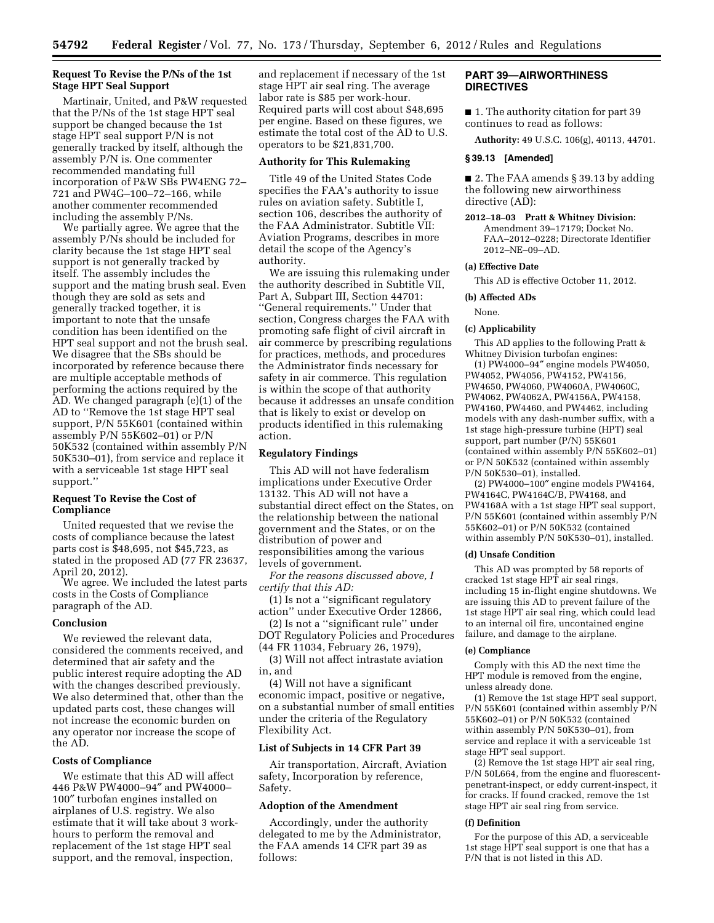# **Request To Revise the P/Ns of the 1st Stage HPT Seal Support**

Martinair, United, and P&W requested that the P/Ns of the 1st stage HPT seal support be changed because the 1st stage HPT seal support P/N is not generally tracked by itself, although the assembly P/N is. One commenter recommended mandating full incorporation of P&W SBs PW4ENG 72– 721 and PW4G–100–72–166, while another commenter recommended including the assembly P/Ns.

We partially agree. We agree that the assembly P/Ns should be included for clarity because the 1st stage HPT seal support is not generally tracked by itself. The assembly includes the support and the mating brush seal. Even though they are sold as sets and generally tracked together, it is important to note that the unsafe condition has been identified on the HPT seal support and not the brush seal. We disagree that the SBs should be incorporated by reference because there are multiple acceptable methods of performing the actions required by the AD. We changed paragraph (e)(1) of the AD to ''Remove the 1st stage HPT seal support, P/N 55K601 (contained within assembly P/N 55K602–01) or P/N 50K532 (contained within assembly P/N 50K530–01), from service and replace it with a serviceable 1st stage HPT seal support.''

# **Request To Revise the Cost of Compliance**

United requested that we revise the costs of compliance because the latest parts cost is \$48,695, not \$45,723, as stated in the proposed AD (77 FR 23637, April 20, 2012).

We agree. We included the latest parts costs in the Costs of Compliance paragraph of the AD.

#### **Conclusion**

We reviewed the relevant data, considered the comments received, and determined that air safety and the public interest require adopting the AD with the changes described previously. We also determined that, other than the updated parts cost, these changes will not increase the economic burden on any operator nor increase the scope of the AD.

# **Costs of Compliance**

We estimate that this AD will affect 446 P&W PW4000–94″ and PW4000– 100″ turbofan engines installed on airplanes of U.S. registry. We also estimate that it will take about 3 workhours to perform the removal and replacement of the 1st stage HPT seal support, and the removal, inspection,

and replacement if necessary of the 1st stage HPT air seal ring. The average labor rate is \$85 per work-hour. Required parts will cost about \$48,695 per engine. Based on these figures, we estimate the total cost of the AD to U.S. operators to be \$21,831,700.

#### **Authority for This Rulemaking**

Title 49 of the United States Code specifies the FAA's authority to issue rules on aviation safety. Subtitle I, section 106, describes the authority of the FAA Administrator. Subtitle VII: Aviation Programs, describes in more detail the scope of the Agency's authority.

We are issuing this rulemaking under the authority described in Subtitle VII, Part A, Subpart III, Section 44701: ''General requirements.'' Under that section, Congress charges the FAA with promoting safe flight of civil aircraft in air commerce by prescribing regulations for practices, methods, and procedures the Administrator finds necessary for safety in air commerce. This regulation is within the scope of that authority because it addresses an unsafe condition that is likely to exist or develop on products identified in this rulemaking action.

# **Regulatory Findings**

This AD will not have federalism implications under Executive Order 13132. This AD will not have a substantial direct effect on the States, on the relationship between the national government and the States, or on the distribution of power and responsibilities among the various levels of government.

*For the reasons discussed above, I certify that this AD:* 

(1) Is not a ''significant regulatory action'' under Executive Order 12866, (2) Is not a ''significant rule'' under

DOT Regulatory Policies and Procedures (44 FR 11034, February 26, 1979),

(3) Will not affect intrastate aviation in, and

(4) Will not have a significant economic impact, positive or negative, on a substantial number of small entities under the criteria of the Regulatory Flexibility Act.

# **List of Subjects in 14 CFR Part 39**

Air transportation, Aircraft, Aviation safety, Incorporation by reference, Safety.

### **Adoption of the Amendment**

Accordingly, under the authority delegated to me by the Administrator, the FAA amends 14 CFR part 39 as follows:

# **PART 39—AIRWORTHINESS DIRECTIVES**

■ 1. The authority citation for part 39 continues to read as follows:

**Authority:** 49 U.S.C. 106(g), 40113, 44701.

#### **§ 39.13 [Amended]**

■ 2. The FAA amends § 39.13 by adding the following new airworthiness directive (AD):

**2012–18–03 Pratt & Whitney Division:**  Amendment 39–17179; Docket No. FAA–2012–0228; Directorate Identifier 2012–NE–09–AD.

#### **(a) Effective Date**

This AD is effective October 11, 2012.

#### **(b) Affected ADs**

None.

#### **(c) Applicability**

This AD applies to the following Pratt & Whitney Division turbofan engines:

(1) PW4000–94″ engine models PW4050, PW4052, PW4056, PW4152, PW4156, PW4650, PW4060, PW4060A, PW4060C, PW4062, PW4062A, PW4156A, PW4158, PW4160, PW4460, and PW4462, including models with any dash-number suffix, with a 1st stage high-pressure turbine (HPT) seal support, part number (P/N) 55K601 (contained within assembly P/N 55K602–01) or P/N 50K532 (contained within assembly P/N 50K530–01), installed.

(2) PW4000–100″ engine models PW4164, PW4164C, PW4164C/B, PW4168, and PW4168A with a 1st stage HPT seal support, P/N 55K601 (contained within assembly P/N 55K602–01) or P/N 50K532 (contained within assembly P/N 50K530–01), installed.

#### **(d) Unsafe Condition**

This AD was prompted by 58 reports of cracked 1st stage HPT air seal rings, including 15 in-flight engine shutdowns. We are issuing this AD to prevent failure of the 1st stage HPT air seal ring, which could lead to an internal oil fire, uncontained engine failure, and damage to the airplane.

#### **(e) Compliance**

Comply with this AD the next time the HPT module is removed from the engine, unless already done.

(1) Remove the 1st stage HPT seal support, P/N 55K601 (contained within assembly P/N 55K602–01) or P/N 50K532 (contained within assembly P/N 50K530–01), from service and replace it with a serviceable 1st stage HPT seal support.

(2) Remove the 1st stage HPT air seal ring, P/N 50L664, from the engine and fluorescentpenetrant-inspect, or eddy current-inspect, it for cracks. If found cracked, remove the 1st stage HPT air seal ring from service.

#### **(f) Definition**

For the purpose of this AD, a serviceable 1st stage HPT seal support is one that has a P/N that is not listed in this AD.